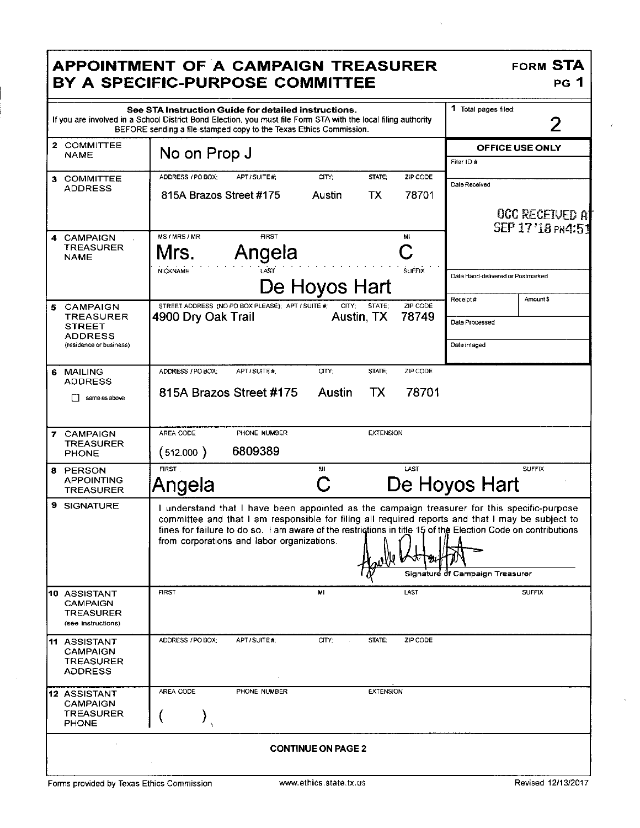|                                                                                                        | <b>APPOINTMENT OF A CAMPAIGN TREASURER</b><br>BY A SPECIFIC-PURPOSE COMMITTEE                                                                                                                                                                                                                                                                                 | <b>FORM STA</b><br>PG 1                                |  |  |
|--------------------------------------------------------------------------------------------------------|---------------------------------------------------------------------------------------------------------------------------------------------------------------------------------------------------------------------------------------------------------------------------------------------------------------------------------------------------------------|--------------------------------------------------------|--|--|
|                                                                                                        | See STA Instruction Guide for detailed instructions.<br>If you are involved in a School District Bond Election, you must file Form STA with the local filing authority<br>BEFORE sending a file-stamped copy to the Texas Ethics Commission.                                                                                                                  | 1 Total pages filed:<br>2                              |  |  |
| 2 COMMITTEE<br><b>NAME</b>                                                                             | No on Prop J                                                                                                                                                                                                                                                                                                                                                  | OFFICE USE ONLY<br>Filer ID #                          |  |  |
| 3 COMMITTEE<br>ADDRESS                                                                                 | ZIP CODE<br>ADDRESS / PO BOX:<br>APT / SUITE #;<br>CITY:<br>STATE:<br>815A Brazos Street #175<br>ТX<br>78701<br>Austin                                                                                                                                                                                                                                        | Date Received<br>OCC RECEIVED A                        |  |  |
| 4 CAMPAIGN<br>TREASURER<br><b>NAME</b>                                                                 | MS/MRS/MR<br><b>FIRST</b><br>M1<br>C<br>Angela<br>Mrs.<br><b>SUFFIX</b><br><b>NICKNAME</b><br>LAST<br>De Hoyos Hart                                                                                                                                                                                                                                           | SEP 17 18 PM 151<br>Date Hand-delivered or Postmarked  |  |  |
| <b>CAMPAIGN</b><br>5<br><b>TREASURER</b><br><b>STREET</b><br><b>ADDRESS</b><br>(residence or business) | STREET ADDRESS (NO PO BOX PLEASE); APT / SUITE #:<br>STATE:<br>ZIP CODE<br>CITY:<br>78749<br>4900 Dry Oak Trail<br>Austin, TX                                                                                                                                                                                                                                 | Receipt#<br>Amount \$<br>Date Processed<br>Date imaged |  |  |
| 6 MAILING<br><b>ADDRESS</b><br>same as above                                                           | CITY:<br>STATE:<br>ZIP CODE<br>ADDRESS / PO BOX;<br>APT/SUITE #<br>815A Brazos Street #175<br>78701<br>Austin<br>TX                                                                                                                                                                                                                                           |                                                        |  |  |
| 7 CAMPAIGN<br><b>TREASURER</b><br><b>PHONE</b>                                                         | <b>EXTENSION</b><br>AREA CODE<br>PHONE NUMBER<br>6809389<br>(512.000)                                                                                                                                                                                                                                                                                         |                                                        |  |  |
| 8 PERSON<br><b>APPOINTING</b><br><b>TREASURER</b>                                                      | <b>FIRST</b><br>LAST<br>M.<br>C<br>Angela                                                                                                                                                                                                                                                                                                                     | <b>SUFFIX</b><br>De Hoyos Hart                         |  |  |
| 9 SIGNATURE                                                                                            | I understand that I have been appointed as the campaign treasurer for this specific-purpose<br>committee and that I am responsible for filing all required reports and that I may be subject to<br>fines for failure to do so. I am aware of the restrictions in title 15 of the Election Code on contributions<br>from corporations and labor organizations. | Signature of Campaign Treasurer                        |  |  |
| 10 ASSISTANT<br><b>CAMPAIGN</b><br>TREASURER<br>(see instructions)                                     | <b>LAST</b><br><b>FIRST</b><br>MI                                                                                                                                                                                                                                                                                                                             | <b>SUFFIX</b>                                          |  |  |
| <b>11 ASSISTANT</b><br><b>CAMPAIGN</b><br><b>TREASURER</b><br><b>ADDRESS</b>                           | ADDRESS / PO BOX;<br>APT/SUITE#;<br>CITY;<br>ZIP CODE<br>STATE;                                                                                                                                                                                                                                                                                               |                                                        |  |  |
| 12 ASSISTANT<br><b>CAMPAIGN</b><br><b>TREASURER</b><br><b>PHONE</b>                                    | AREA CODE<br>PHONE NUMBER<br><b>EXTENSION</b>                                                                                                                                                                                                                                                                                                                 |                                                        |  |  |
| <b>CONTINUE ON PAGE 2</b>                                                                              |                                                                                                                                                                                                                                                                                                                                                               |                                                        |  |  |

 $\ddot{\phantom{a}}$ 

 $\hat{r}$